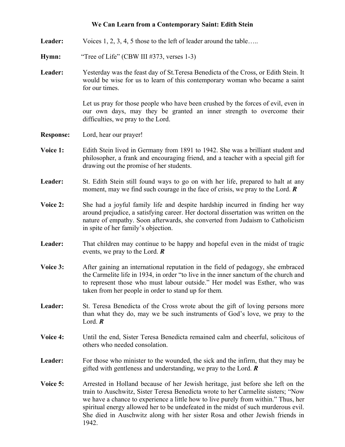## **We Can Learn from a Contemporary Saint: Edith Stein**

- Leader: Voices 1, 2, 3, 4, 5 those to the left of leader around the table…..
- **Hymn:** "Tree of Life" (CBW III #373, verses 1-3)
- **Leader:** Yesterday was the feast day of St.Teresa Benedicta of the Cross, or Edith Stein. It would be wise for us to learn of this contemporary woman who became a saint for our times.

 Let us pray for those people who have been crushed by the forces of evil, even in our own days, may they be granted an inner strength to overcome their difficulties, we pray to the Lord.

- **Response:** Lord, hear our prayer!
- **Voice 1:** Edith Stein lived in Germany from 1891 to 1942. She was a brilliant student and philosopher, a frank and encouraging friend, and a teacher with a special gift for drawing out the promise of her students.
- Leader: St. Edith Stein still found ways to go on with her life, prepared to halt at any moment, may we find such courage in the face of crisis, we pray to the Lord. *R*
- **Voice 2:** She had a joyful family life and despite hardship incurred in finding her way around prejudice, a satisfying career. Her doctoral dissertation was written on the nature of empathy. Soon afterwards, she converted from Judaism to Catholicism in spite of her family's objection.
- Leader: That children may continue to be happy and hopeful even in the midst of tragic events, we pray to the Lord. *R*
- **Voice 3:** After gaining an international reputation in the field of pedagogy, she embraced the Carmelite life in 1934, in order "to live in the inner sanctum of the church and to represent those who must labour outside." Her model was Esther, who was taken from her people in order to stand up for them*.*
- Leader: St. Teresa Benedicta of the Cross wrote about the gift of loving persons more than what they do, may we be such instruments of God's love, we pray to the Lord. *R*
- **Voice 4:** Until the end, Sister Teresa Benedicta remained calm and cheerful, solicitous of others who needed consolation.
- Leader: For those who minister to the wounded, the sick and the infirm, that they may be gifted with gentleness and understanding, we pray to the Lord. *R*
- **Voice 5:** Arrested in Holland because of her Jewish heritage, just before she left on the train to Auschwitz, Sister Teresa Benedicta wrote to her Carmelite sisters; "Now we have a chance to experience a little how to live purely from within." Thus, her spiritual energy allowed her to be undefeated in the midst of such murderous evil. She died in Auschwitz along with her sister Rosa and other Jewish friends in 1942.